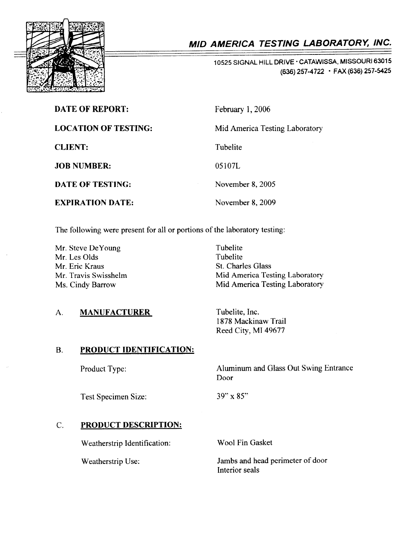

# MID AMERICA TESTING LABORATORY, INC.

10525 SIGNAL HILL DRIVE · CATAWISSA, MISSOURI 63015 (636) 257-4722 · FAX (636) 257-5425

| <b>DATE OF REPORT:</b>      | February 1, 2006               |
|-----------------------------|--------------------------------|
| <b>LOCATION OF TESTING:</b> | Mid America Testing Laboratory |
| <b>CLIENT:</b>              | Tubelite                       |
| <b>JOB NUMBER:</b>          | 05107L                         |
| DATE OF TESTING:            | November 8, 2005               |
| <b>EXPIRATION DATE:</b>     | November 8, 2009               |

The following were present for all or portions of the laboratory testing:

Mr. Steve DeYoung Mr. Les Olds Mr. Eric Kraus Mr. Travis Swisshelm Ms. Cindy Barrow

Tubelite Tubelite St. Charles Glass Mid America Testing Laboratory Mid America Testing Laboratory

Tubelite, Inc. 1878 Mackinaw Trail Reed City, MI 49677

### PRODUCT IDENTIFICATION: B.

Product Type:

A. MANUFACTURER

Test Specimen Size:

39" x 85"

Door

### PRODUCT DESCRIPTION: C.

Weatherstrip Identification:

Weatherstrip Use:

Wool Fin Gasket

Jambs and head perimeter of door Interior seals

Aluminum and Glass Out Swing Entrance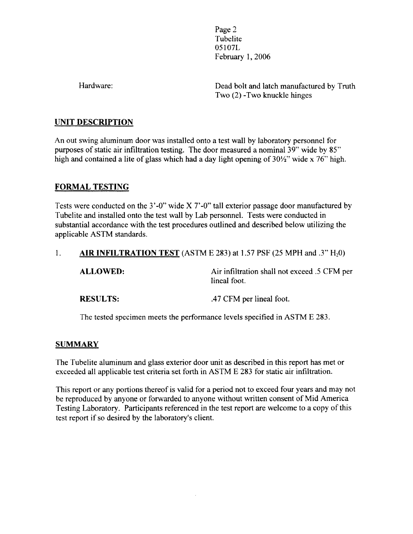Page 2 **Tubelite** 05107L February 1,2006

Hardware:

Dead bolt and latch manufactured by Truth Two (2) -Two knuckle hinges

# UNIT DESCRIPTION

An out swing aluminum door was installed onto a test wall by laboratory personnel for purposes of static air infiltration testing. The door measured a nominal 39" wide by 85" high and contained a lite of glass which had a day light opening of 30/2" wide x 76" high.

# FORMAL TESTING

Tests were conducted on the 3'-0" wide X7'-0" tall exterior passage door manufactured by Tubelite and installed onto the test wall by Lab personnel. Tests were conducted in substantial accordance with the test procedures outlined and described below utilizing the applicable ASTM standards.

# l. AIR INFILTRATION TEST (ASTM E 283) at 1.57 PSF (25 MPH and .3"  $H_2$ 0)

| <b>ALLOWED:</b> | Air infiltration shall not exceed .5 CFM per<br>lineal foot. |
|-----------------|--------------------------------------------------------------|
| <b>RESULTS:</b> | .47 CFM per lineal foot.                                     |

The tested specimen meets the performance levels specified in ASTM E 283.

# **SUMMARY**

The Tubelite aluminum and glass exterior door unit as described in this report has met or exceeded all applicable test criteria set forth in ASTM E 283 for static air infiltration.

This report or any portions thereof is valid for a period not to exceed four years and may not be reproduced by anyone or forwarded to anyone without written consent of Mid America Testing Laboratory. Participants referenced in the test report are welcome to a copy of this test report if so desired by the laboratory's client.